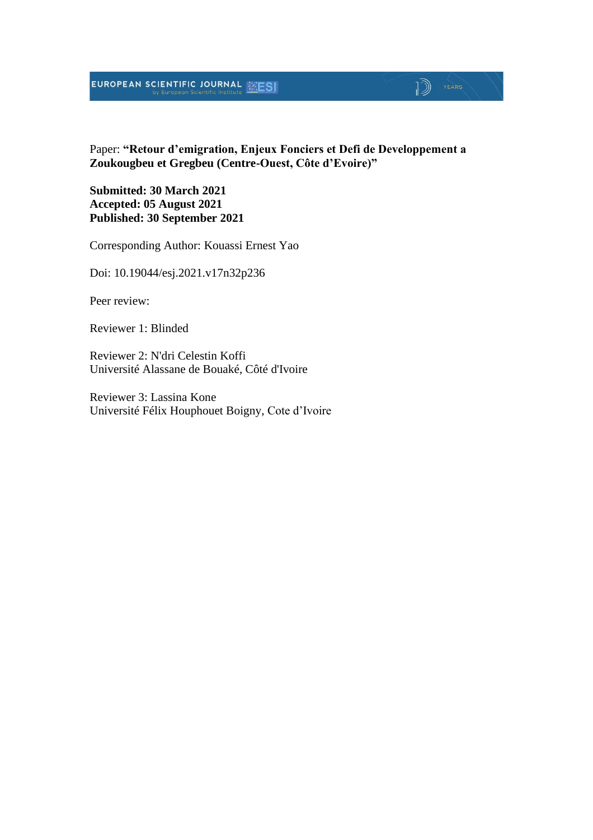# **EUROPEAN SCIENTIFIC JOURNAL EXESI**

#### Paper: **"Retour d'emigration, Enjeux Fonciers et Defi de Developpement a Zoukougbeu et Gregbeu (Centre-Ouest, Côte d'Evoire)"**

 $\mathbb{D}$   $\mathbb{P}$   $\mathbb{P}$   $\mathbb{P}$   $\mathbb{P}$   $\mathbb{P}$   $\mathbb{P}$   $\mathbb{P}$   $\mathbb{P}$   $\mathbb{P}$   $\mathbb{P}$   $\mathbb{P}$   $\mathbb{P}$   $\mathbb{P}$   $\mathbb{P}$   $\mathbb{P}$   $\mathbb{P}$   $\mathbb{P}$   $\mathbb{P}$   $\mathbb{P}$   $\mathbb{P}$   $\mathbb{P}$   $\mathbb{P}$   $\mathbb{P}$   $\mathbb{$ 

**Submitted: 30 March 2021 Accepted: 05 August 2021 Published: 30 September 2021**

Corresponding Author: Kouassi Ernest Yao

Doi: 10.19044/esj.2021.v17n32p236

Peer review:

Reviewer 1: Blinded

Reviewer 2: N'dri Celestin Koffi Université Alassane de Bouaké, Côté d'Ivoire

Reviewer 3: Lassina Kone Université Félix Houphouet Boigny, Cote d'Ivoire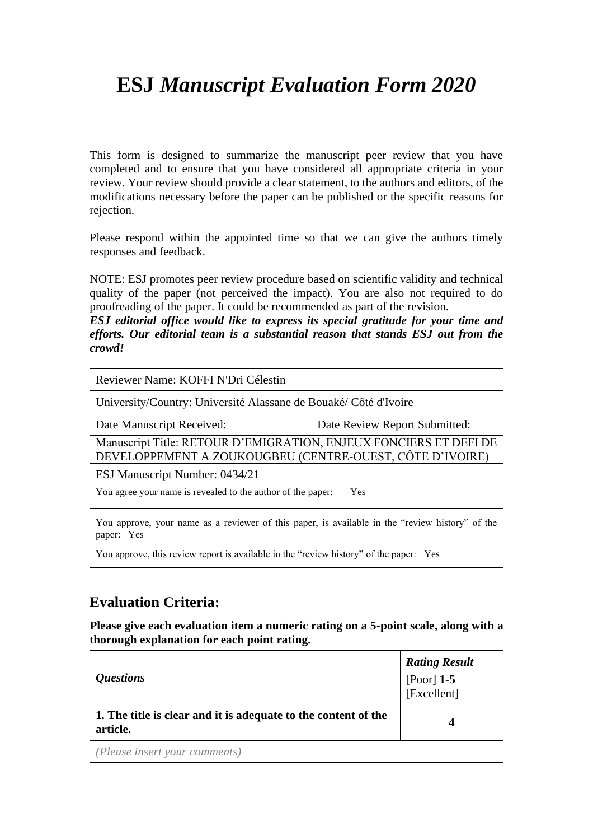# **ESJ** *Manuscript Evaluation Form 2020*

This form is designed to summarize the manuscript peer review that you have completed and to ensure that you have considered all appropriate criteria in your review. Your review should provide a clear statement, to the authors and editors, of the modifications necessary before the paper can be published or the specific reasons for rejection.

Please respond within the appointed time so that we can give the authors timely responses and feedback.

NOTE: ESJ promotes peer review procedure based on scientific validity and technical quality of the paper (not perceived the impact). You are also not required to do proofreading of the paper. It could be recommended as part of the revision.

*ESJ editorial office would like to express its special gratitude for your time and efforts. Our editorial team is a substantial reason that stands ESJ out from the crowd!*

| Reviewer Name: KOFFI N'Dri Célestin                                                                                           |  |  |  |
|-------------------------------------------------------------------------------------------------------------------------------|--|--|--|
| University/Country: Université Alassane de Bouaké/ Côté d'Ivoire                                                              |  |  |  |
| Date Review Report Submitted:<br>Date Manuscript Received:                                                                    |  |  |  |
| Manuscript Title: RETOUR D'EMIGRATION, ENJEUX FONCIERS ET DEFI DE<br>DEVELOPPEMENT A ZOUKOUGBEU (CENTRE-OUEST, CÔTE D'IVOIRE) |  |  |  |
| ESJ Manuscript Number: 0434/21                                                                                                |  |  |  |
| You agree your name is revealed to the author of the paper:<br>Yes                                                            |  |  |  |
| You approve, your name as a reviewer of this paper, is available in the "review history" of the<br>paper: Yes                 |  |  |  |
| You approve, this review report is available in the "review history" of the paper: Yes                                        |  |  |  |

### **Evaluation Criteria:**

**Please give each evaluation item a numeric rating on a 5-point scale, along with a thorough explanation for each point rating.**

| <i><b>Questions</b></i>                                                    | <b>Rating Result</b><br>[Poor] 1-5<br>[Excellent] |
|----------------------------------------------------------------------------|---------------------------------------------------|
| 1. The title is clear and it is adequate to the content of the<br>article. |                                                   |
| (Please insert your comments)                                              |                                                   |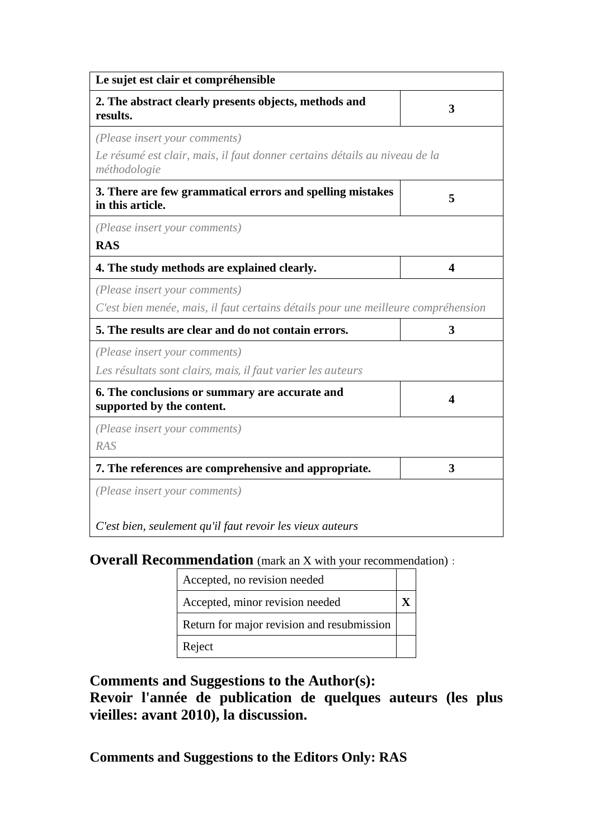| Le sujet est clair et compréhensible                                                                                        |   |
|-----------------------------------------------------------------------------------------------------------------------------|---|
| 2. The abstract clearly presents objects, methods and<br>results.                                                           | 3 |
| (Please insert your comments)<br>Le résumé est clair, mais, il faut donner certains détails au niveau de la<br>méthodologie |   |
| 3. There are few grammatical errors and spelling mistakes<br>in this article.                                               | 5 |
| (Please insert your comments)<br><b>RAS</b>                                                                                 |   |
| 4. The study methods are explained clearly.                                                                                 | 4 |
| (Please insert your comments)<br>C'est bien menée, mais, il faut certains détails pour une meilleure compréhension          |   |
| 5. The results are clear and do not contain errors.                                                                         | 3 |
| (Please insert your comments)<br>Les résultats sont clairs, mais, il faut varier les auteurs                                |   |
| 6. The conclusions or summary are accurate and<br>supported by the content.                                                 | 4 |
| (Please insert your comments)<br><b>RAS</b>                                                                                 |   |
| 7. The references are comprehensive and appropriate.                                                                        | 3 |
| (Please insert your comments)                                                                                               |   |
| C'est bien, seulement qu'il faut revoir les vieux auteurs                                                                   |   |

**Overall Recommendation** (mark an X with your recommendation):

| Accepted, no revision needed               |  |
|--------------------------------------------|--|
| Accepted, minor revision needed            |  |
| Return for major revision and resubmission |  |
| Reject                                     |  |

**Comments and Suggestions to the Author(s):**

**Revoir l'année de publication de quelques auteurs (les plus vieilles: avant 2010), la discussion.**

**Comments and Suggestions to the Editors Only: RAS**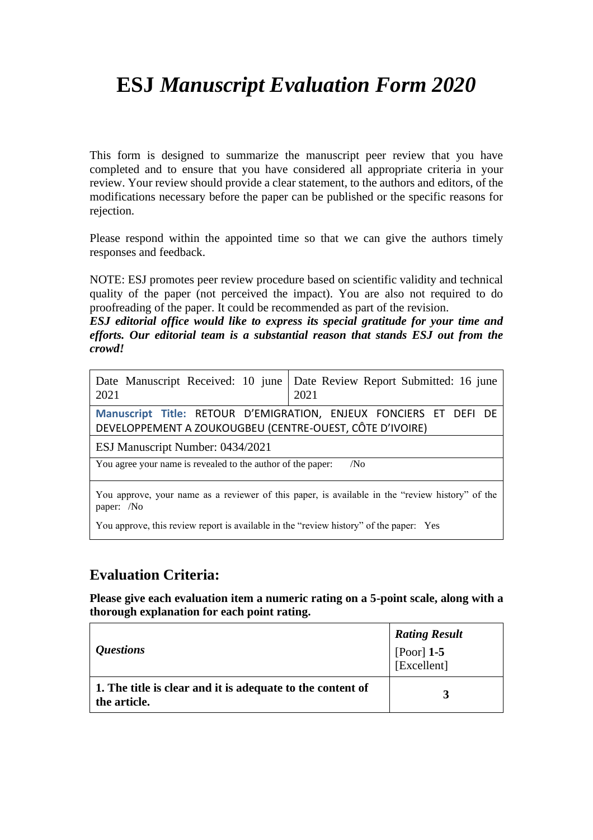# **ESJ** *Manuscript Evaluation Form 2020*

This form is designed to summarize the manuscript peer review that you have completed and to ensure that you have considered all appropriate criteria in your review. Your review should provide a clear statement, to the authors and editors, of the modifications necessary before the paper can be published or the specific reasons for rejection.

Please respond within the appointed time so that we can give the authors timely responses and feedback.

NOTE: ESJ promotes peer review procedure based on scientific validity and technical quality of the paper (not perceived the impact). You are also not required to do proofreading of the paper. It could be recommended as part of the revision.

*ESJ editorial office would like to express its special gratitude for your time and efforts. Our editorial team is a substantial reason that stands ESJ out from the crowd!*

| 2021                                                        | Date Manuscript Received: 10 june Date Review Report Submitted: 16 june<br>2021                 |
|-------------------------------------------------------------|-------------------------------------------------------------------------------------------------|
| DEVELOPPEMENT A ZOUKOUGBEU (CENTRE-OUEST, CÔTE D'IVOIRE)    | Manuscript Title: RETOUR D'EMIGRATION, ENJEUX FONCIERS ET DEFI DE                               |
| ESJ Manuscript Number: 0434/2021                            |                                                                                                 |
| You agree your name is revealed to the author of the paper: | /N <sub>0</sub>                                                                                 |
|                                                             | You approve, your name as a reviewer of this paper, is available in the "review history" of the |

paper: /No

You approve, this review report is available in the "review history" of the paper: Yes

### **Evaluation Criteria:**

**Please give each evaluation item a numeric rating on a 5-point scale, along with a thorough explanation for each point rating.**

| <i><b>Questions</b></i>                                                    | <b>Rating Result</b><br>[Poor] $1-5$<br>[Excellent] |
|----------------------------------------------------------------------------|-----------------------------------------------------|
| 1. The title is clear and it is adequate to the content of<br>the article. | 3                                                   |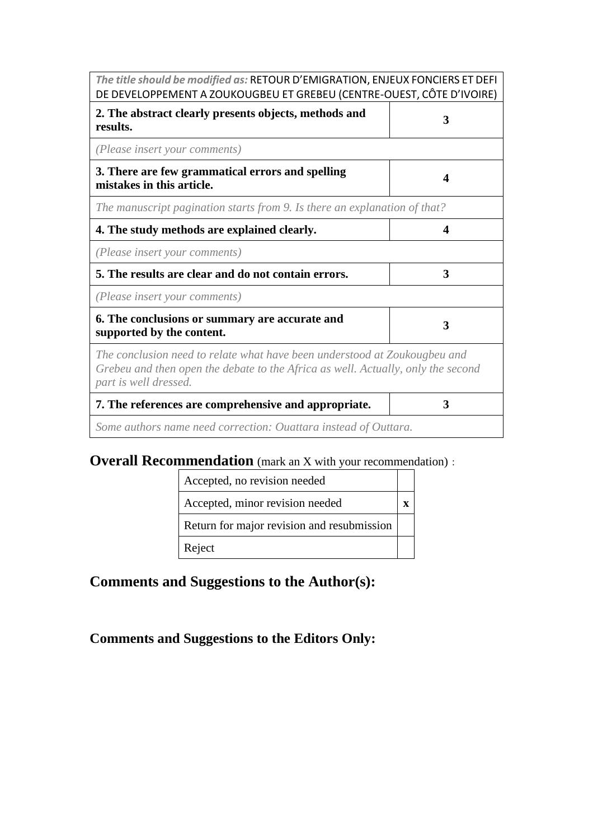| The title should be modified as: RETOUR D'EMIGRATION, ENJEUX FONCIERS ET DEFI<br>DE DEVELOPPEMENT A ZOUKOUGBEU ET GREBEU (CENTRE-OUEST, CÔTE D'IVOIRE)                                 |   |
|----------------------------------------------------------------------------------------------------------------------------------------------------------------------------------------|---|
| 2. The abstract clearly presents objects, methods and<br>results.                                                                                                                      | 3 |
| (Please insert your comments)                                                                                                                                                          |   |
| 3. There are few grammatical errors and spelling<br>mistakes in this article.                                                                                                          | 4 |
| The manuscript pagination starts from 9. Is there an explanation of that?                                                                                                              |   |
| 4. The study methods are explained clearly.                                                                                                                                            | 4 |
| (Please insert your comments)                                                                                                                                                          |   |
| 5. The results are clear and do not contain errors.                                                                                                                                    | 3 |
| (Please insert your comments)                                                                                                                                                          |   |
| 6. The conclusions or summary are accurate and<br>supported by the content.                                                                                                            | 3 |
| The conclusion need to relate what have been understood at Zoukougbeu and<br>Grebeu and then open the debate to the Africa as well. Actually, only the second<br>part is well dressed. |   |
| 7. The references are comprehensive and appropriate.                                                                                                                                   | 3 |
| Some authors name need correction: Ouattara instead of Outtara.                                                                                                                        |   |

# **Overall Recommendation** (mark an X with your recommendation):

| Accepted, no revision needed               |  |
|--------------------------------------------|--|
| Accepted, minor revision needed            |  |
| Return for major revision and resubmission |  |
| Reject                                     |  |

# **Comments and Suggestions to the Author(s):**

# **Comments and Suggestions to the Editors Only:**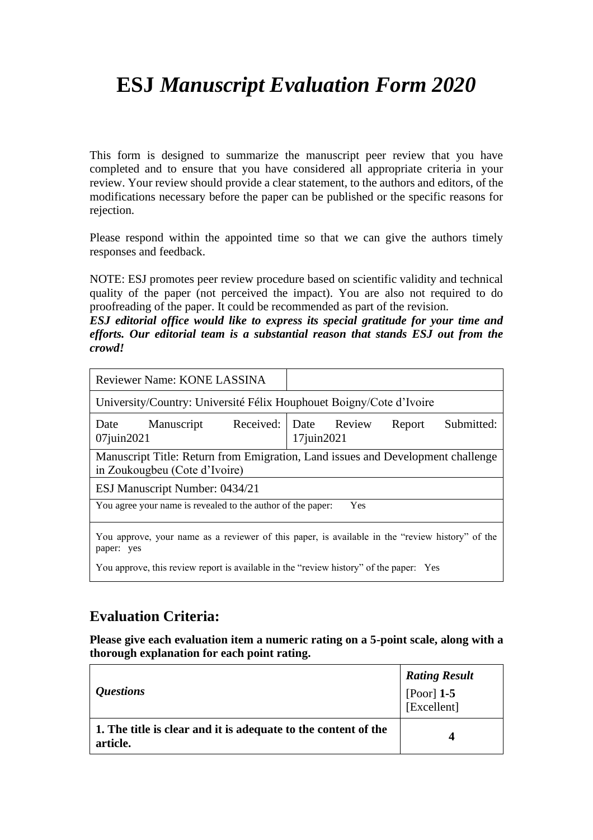# **ESJ** *Manuscript Evaluation Form 2020*

This form is designed to summarize the manuscript peer review that you have completed and to ensure that you have considered all appropriate criteria in your review. Your review should provide a clear statement, to the authors and editors, of the modifications necessary before the paper can be published or the specific reasons for rejection.

Please respond within the appointed time so that we can give the authors timely responses and feedback.

NOTE: ESJ promotes peer review procedure based on scientific validity and technical quality of the paper (not perceived the impact). You are also not required to do proofreading of the paper. It could be recommended as part of the revision.

*ESJ editorial office would like to express its special gratitude for your time and efforts. Our editorial team is a substantial reason that stands ESJ out from the crowd!*

| Reviewer Name: KONE LASSINA                                                                                      |                       |            |     |        |            |
|------------------------------------------------------------------------------------------------------------------|-----------------------|------------|-----|--------|------------|
| University/Country: Université Félix Houphouet Boigny/Cote d'Ivoire                                              |                       |            |     |        |            |
| Manuscript<br>Date<br>07juin2021                                                                                 | Received: Date Review | 17juin2021 |     | Report | Submitted: |
| Manuscript Title: Return from Emigration, Land issues and Development challenge<br>in Zoukougbeu (Cote d'Ivoire) |                       |            |     |        |            |
| ESJ Manuscript Number: 0434/21                                                                                   |                       |            |     |        |            |
| You agree your name is revealed to the author of the paper:                                                      |                       |            | Yes |        |            |
| You approve, your name as a reviewer of this paper, is available in the "review history" of the<br>paper: yes    |                       |            |     |        |            |
| You approve, this review report is available in the "review history" of the paper: Yes                           |                       |            |     |        |            |

### **Evaluation Criteria:**

**Please give each evaluation item a numeric rating on a 5-point scale, along with a thorough explanation for each point rating.**

| <i><b>Ouestions</b></i>                                                    | <b>Rating Result</b><br>[Poor] $1-5$<br>[Excellent] |
|----------------------------------------------------------------------------|-----------------------------------------------------|
| 1. The title is clear and it is adequate to the content of the<br>article. | 4                                                   |